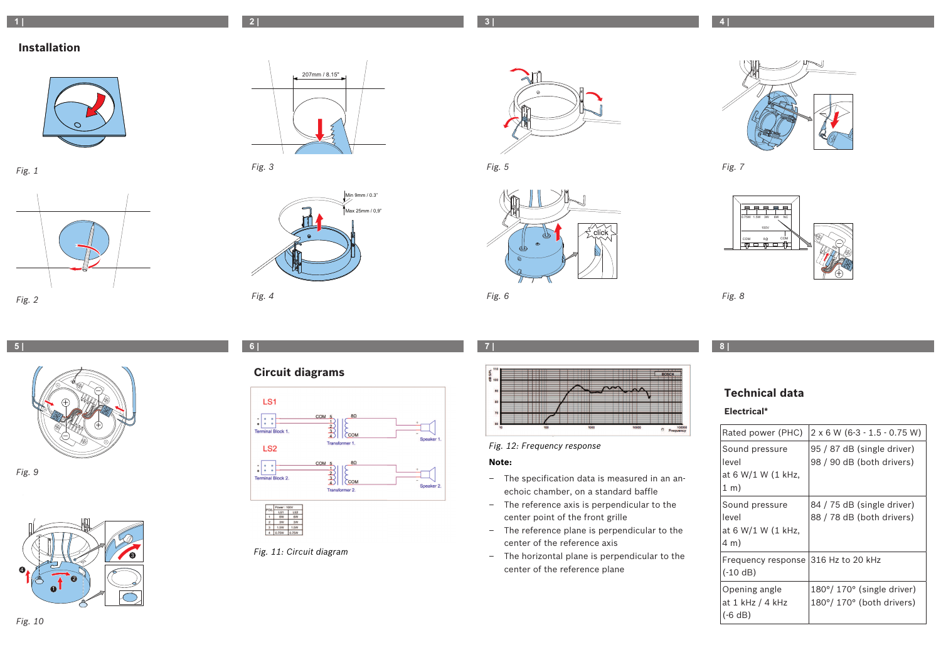# **Installation**



*Fig. 1*





*Fig. 3*



*Fig. 4*



*Fig. 5*



*Fig. 6*



*Fig. 7*



*Fig. 8*

# $\bigoplus$  $\geq$ **5 | 6 | 7 | 8 |**

 $\oplus$  $\preceq$ 

*Fig. 9*







*Fig. 11: Circuit diagram*



# *Fig. 12: Frequency response*

### **Note:**

- The specification data is measured in an anechoic chamber, on a standard baffle
- The reference axis is perpendicular to the center point of the front grille
- The reference plane is perpendicular to the center of the reference axis
- The horizontal plane is perpendicular to the center of the reference plane

# **Technical data**

### **Electrical\***

| Rated power (PHC)                                                | $2 \times 6$ W (6-3 - 1.5 - 0.75 W)                                |
|------------------------------------------------------------------|--------------------------------------------------------------------|
| Sound pressure<br>level<br>at 6 W/1 W (1 kHz,<br>$1 \text{ m}$ ) | 95 / 87 dB (single driver)<br>98 / 90 dB (both drivers)            |
| Sound pressure<br>level<br>at 6 W/1 W (1 kHz,<br>4 m)            | 84 / 75 dB (single driver)<br>88 / 78 dB (both drivers)            |
| Frequency response<br>$(-10 dB)$                                 | 1316 Hz to 20 kHz                                                  |
| Opening angle<br>at 1 kHz / 4 kHz<br>$(-6 dB)$                   | $180^\circ/ 170^\circ$ (single driver)<br>180°/170° (both drivers) |